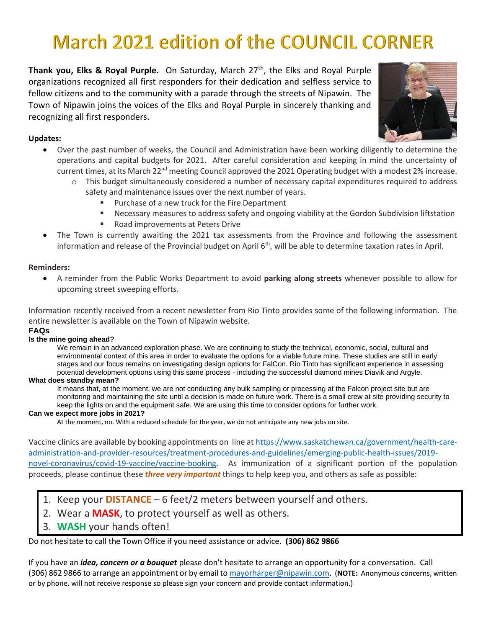# **March 2021 edition of the COUNCIL CORNER**

**Thank you, Elks & Royal Purple.** On Saturday, March 27<sup>th</sup>, the Elks and Royal Purple organizations recognized all first responders for their dedication and selfless service to fellow citizens and to the community with a parade through the streets of Nipawin. The Town of Nipawin joins the voices of the Elks and Royal Purple in sincerely thanking and recognizing all first responders.



## **Updates:**

- Over the past number of weeks, the Council and Administration have been working diligently to determine the operations and capital budgets for 2021. After careful consideration and keeping in mind the uncertainty of current times, at its March 22<sup>nd</sup> meeting Council approved the 2021 Operating budget with a modest 2% increase.
	- $\circ$  This budget simultaneously considered a number of necessary capital expenditures required to address safety and maintenance issues over the next number of years.
		- Purchase of a new truck for the Fire Department
		- Necessary measures to address safety and ongoing viability at the Gordon Subdivision liftstation
		- Road improvements at Peters Drive
- The Town is currently awaiting the 2021 tax assessments from the Province and following the assessment information and release of the Provincial budget on April 6<sup>th</sup>, will be able to determine taxation rates in April.

### **Reminders:**

• A reminder from the Public Works Department to avoid **parking along streets** whenever possible to allow for upcoming street sweeping efforts.

Information recently received from a recent newsletter from Rio Tinto provides some of the following information. The entire newsletter is available on the Town of Nipawin website.

#### **FAQs**

#### **Is the mine going ahead?**

We remain in an advanced exploration phase. We are continuing to study the technical, economic, social, cultural and environmental context of this area in order to evaluate the options for a viable future mine. These studies are still in early stages and our focus remains on investigating design options for FalCon. Rio Tinto has significant experience in assessing potential development options using this same process - including the successful diamond mines Diavik and Argyle.

#### **What does standby mean?**

It means that, at the moment, we are not conducting any bulk sampling or processing at the Falcon project site but are monitoring and maintaining the site until a decision is made on future work. There is a small crew at site providing security to keep the lights on and the equipment safe. We are using this time to consider options for further work.

#### **Can we expect more jobs in 2021?**

At the moment, no. With a reduced schedule for the year, we do not anticipate any new jobs on site.

Vaccine clinics are available by booking appointments on line at [https://www.saskatchewan.ca/government/health-care](https://www.saskatchewan.ca/government/health-care-administration-and-provider-resources/treatment-procedures-and-guidelines/emerging-public-health-issues/2019-novel-coronavirus/covid-19-vaccine/vaccine-booking)[administration-and-provider-resources/treatment-procedures-and-guidelines/emerging-public-health-issues/2019](https://www.saskatchewan.ca/government/health-care-administration-and-provider-resources/treatment-procedures-and-guidelines/emerging-public-health-issues/2019-novel-coronavirus/covid-19-vaccine/vaccine-booking) [novel-coronavirus/covid-19-vaccine/vaccine-booking.](https://www.saskatchewan.ca/government/health-care-administration-and-provider-resources/treatment-procedures-and-guidelines/emerging-public-health-issues/2019-novel-coronavirus/covid-19-vaccine/vaccine-booking) As immunization of a significant portion of the population proceeds, please continue these *three very important* things to help keep you, and others as safe as possible:

- 1. Keep your **DISTANCE** 6 feet/2 meters between yourself and others.
- 2. Wear a **MASK**, to protect yourself as well as others.
- 3. **WASH** your hands often!

Do not hesitate to call the Town Office if you need assistance or advice. **(306) 862 9866**

If you have an *idea, concern or a bouquet* please don't hesitate to arrange an opportunity for a conversation. Call (306) 862 9866 to arrange an appointment or by email to [mayorharper@nipawin.com.](mailto:mayorharper@nipawin.com) (**NOTE:** Anonymous concerns, written or by phone, will not receive response so please sign your concern and provide contact information.)